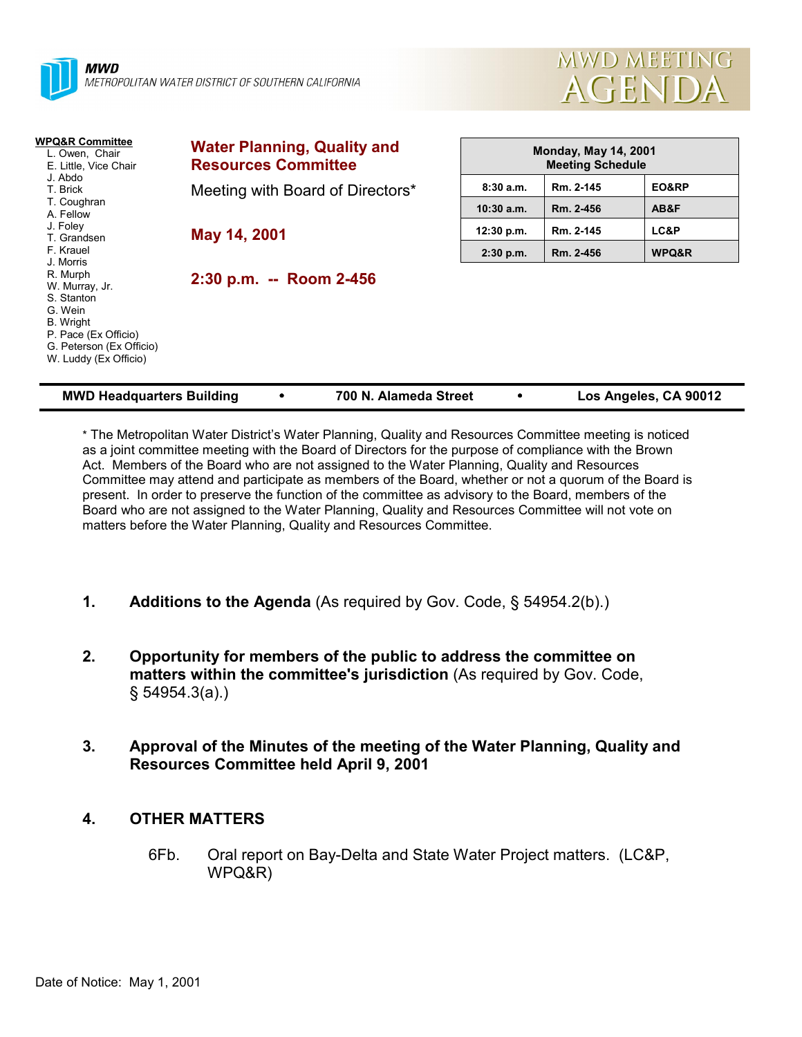



| <b>WPQ&amp;R Committee</b><br>L. Owen, Chair<br>E. Little, Vice Chair<br>J. Abdo<br>T. Brick                                                                      | <b>Water Planning, Quality and</b><br><b>Resources Committee</b> | <b>Monday, May 14, 2001</b><br><b>Meeting Schedule</b> |           |       |
|-------------------------------------------------------------------------------------------------------------------------------------------------------------------|------------------------------------------------------------------|--------------------------------------------------------|-----------|-------|
|                                                                                                                                                                   | Meeting with Board of Directors*<br>May 14, 2001                 | 8:30a.m.                                               | Rm. 2-145 | EO&RP |
| T. Coughran<br>A. Fellow                                                                                                                                          |                                                                  | 10:30a.m.                                              | Rm. 2-456 | AB&F  |
| J. Foley<br>T. Grandsen                                                                                                                                           |                                                                  | 12:30 p.m.                                             | Rm. 2-145 | LC&P  |
| F. Krauel                                                                                                                                                         |                                                                  | $2:30$ p.m.                                            | Rm. 2-456 | WPQ&R |
| J. Morris<br>R. Murph<br>W. Murray, Jr.<br>S. Stanton<br>G. Wein<br><b>B.</b> Wright<br>P. Pace (Ex Officio)<br>G. Peterson (Ex Officio)<br>W. Luddy (Ex Officio) | 2:30 p.m. -- Room 2-456                                          |                                                        |           |       |
| 700 N. Alameda Street<br>Los Angeles, CA 90012<br><b>MWD Headquarters Building</b>                                                                                |                                                                  |                                                        |           |       |

\* The Metropolitan Water Districtís Water Planning, Quality and Resources Committee meeting is noticed as a joint committee meeting with the Board of Directors for the purpose of compliance with the Brown Act. Members of the Board who are not assigned to the Water Planning, Quality and Resources Committee may attend and participate as members of the Board, whether or not a quorum of the Board is present. In order to preserve the function of the committee as advisory to the Board, members of the Board who are not assigned to the Water Planning, Quality and Resources Committee will not vote on matters before the Water Planning, Quality and Resources Committee.

- **1.** Additions to the Agenda (As required by Gov. Code, § 54954.2(b).)
- **2. Opportunity for members of the public to address the committee on matters within the committee's jurisdiction** (As required by Gov. Code, ß 54954.3(a).)
- **3. Approval of the Minutes of the meeting of the Water Planning, Quality and Resources Committee held April 9, 2001**
- **4. OTHER MATTERS**
	- 6Fb. Oral report on Bay-Delta and State Water Project matters. (LC&P, WPQ&R)